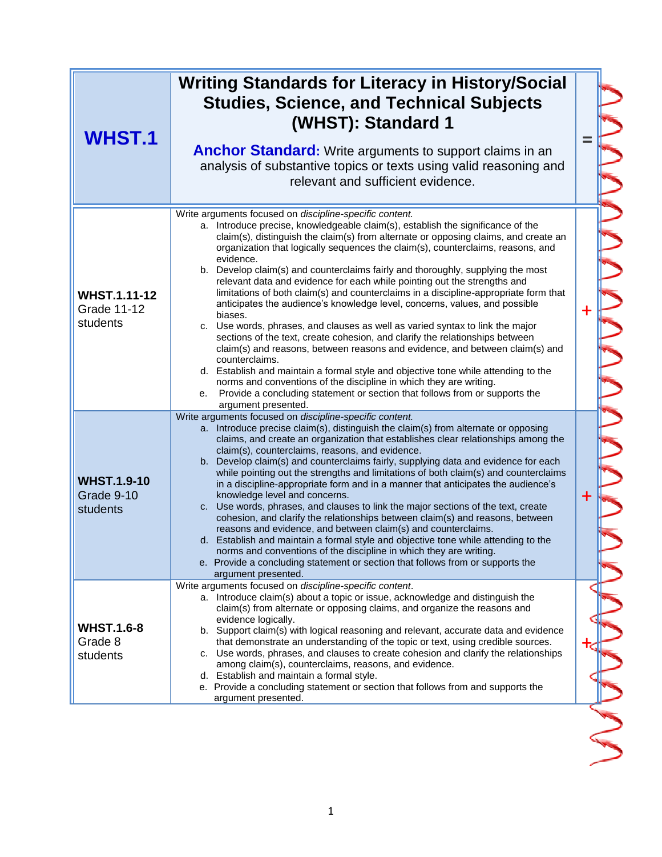| <b>WHST.1</b>                                         | <b>Writing Standards for Literacy in History/Social</b><br><b>Studies, Science, and Technical Subjects</b><br>(WHST): Standard 1<br><b>Anchor Standard:</b> Write arguments to support claims in an<br>analysis of substantive topics or texts using valid reasoning and<br>relevant and sufficient evidence.                                                                                                                                                                                                                                                                                                                                                                                                                                                                                                                                                                                                                                                                                                                                                                                                                                                                                                             |          |
|-------------------------------------------------------|---------------------------------------------------------------------------------------------------------------------------------------------------------------------------------------------------------------------------------------------------------------------------------------------------------------------------------------------------------------------------------------------------------------------------------------------------------------------------------------------------------------------------------------------------------------------------------------------------------------------------------------------------------------------------------------------------------------------------------------------------------------------------------------------------------------------------------------------------------------------------------------------------------------------------------------------------------------------------------------------------------------------------------------------------------------------------------------------------------------------------------------------------------------------------------------------------------------------------|----------|
| <b>WHST.1.11-12</b><br><b>Grade 11-12</b><br>students | Write arguments focused on discipline-specific content.<br>a. Introduce precise, knowledgeable claim(s), establish the significance of the<br>claim(s), distinguish the claim(s) from alternate or opposing claims, and create an<br>organization that logically sequences the claim(s), counterclaims, reasons, and<br>evidence.<br>b. Develop claim(s) and counterclaims fairly and thoroughly, supplying the most<br>relevant data and evidence for each while pointing out the strengths and<br>limitations of both claim(s) and counterclaims in a discipline-appropriate form that<br>anticipates the audience's knowledge level, concerns, values, and possible<br>biases.<br>c. Use words, phrases, and clauses as well as varied syntax to link the major<br>sections of the text, create cohesion, and clarify the relationships between<br>claim(s) and reasons, between reasons and evidence, and between claim(s) and<br>counterclaims.<br>d. Establish and maintain a formal style and objective tone while attending to the<br>norms and conventions of the discipline in which they are writing.<br>e. Provide a concluding statement or section that follows from or supports the<br>argument presented. |          |
| <b>WHST.1.9-10</b><br>Grade 9-10<br>students          | Write arguments focused on discipline-specific content.<br>a. Introduce precise claim(s), distinguish the claim(s) from alternate or opposing<br>claims, and create an organization that establishes clear relationships among the<br>claim(s), counterclaims, reasons, and evidence.<br>b. Develop claim(s) and counterclaims fairly, supplying data and evidence for each<br>while pointing out the strengths and limitations of both claim(s) and counterclaims<br>in a discipline-appropriate form and in a manner that anticipates the audience's<br>knowledge level and concerns.<br>c. Use words, phrases, and clauses to link the major sections of the text, create<br>cohesion, and clarify the relationships between claim(s) and reasons, between<br>reasons and evidence, and between claim(s) and counterclaims.<br>d. Establish and maintain a formal style and objective tone while attending to the<br>norms and conventions of the discipline in which they are writing.<br>e. Provide a concluding statement or section that follows from or supports the<br>argument presented.                                                                                                                       | $\bm{+}$ |
| <b>WHST.1.6-8</b><br>Grade 8<br>students              | Write arguments focused on discipline-specific content.<br>a. Introduce claim(s) about a topic or issue, acknowledge and distinguish the<br>claim(s) from alternate or opposing claims, and organize the reasons and<br>evidence logically.<br>b. Support claim(s) with logical reasoning and relevant, accurate data and evidence<br>that demonstrate an understanding of the topic or text, using credible sources.<br>c. Use words, phrases, and clauses to create cohesion and clarify the relationships<br>among claim(s), counterclaims, reasons, and evidence.<br>d. Establish and maintain a formal style.<br>e. Provide a concluding statement or section that follows from and supports the<br>argument presented.                                                                                                                                                                                                                                                                                                                                                                                                                                                                                              |          |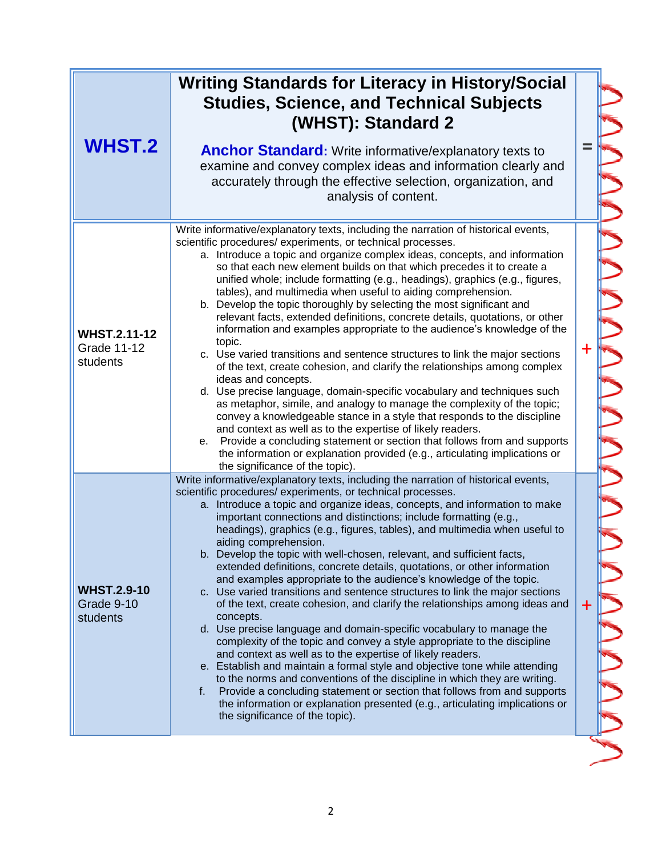| <b>WHST.2</b>                                         | <b>Writing Standards for Literacy in History/Social</b><br><b>Studies, Science, and Technical Subjects</b><br>(WHST): Standard 2<br><b>Anchor Standard:</b> Write informative/explanatory texts to<br>examine and convey complex ideas and information clearly and<br>accurately through the effective selection, organization, and<br>analysis of content.                                                                                                                                                                                                                                                                                                                                                                                                                                                                                                                                                                                                                                                                                                                                                                                                                                                                                                                                                                                                                                                    |   |
|-------------------------------------------------------|----------------------------------------------------------------------------------------------------------------------------------------------------------------------------------------------------------------------------------------------------------------------------------------------------------------------------------------------------------------------------------------------------------------------------------------------------------------------------------------------------------------------------------------------------------------------------------------------------------------------------------------------------------------------------------------------------------------------------------------------------------------------------------------------------------------------------------------------------------------------------------------------------------------------------------------------------------------------------------------------------------------------------------------------------------------------------------------------------------------------------------------------------------------------------------------------------------------------------------------------------------------------------------------------------------------------------------------------------------------------------------------------------------------|---|
| <b>WHST.2.11-12</b><br><b>Grade 11-12</b><br>students | Write informative/explanatory texts, including the narration of historical events,<br>scientific procedures/ experiments, or technical processes.<br>a. Introduce a topic and organize complex ideas, concepts, and information<br>so that each new element builds on that which precedes it to create a<br>unified whole; include formatting (e.g., headings), graphics (e.g., figures,<br>tables), and multimedia when useful to aiding comprehension.<br>b. Develop the topic thoroughly by selecting the most significant and<br>relevant facts, extended definitions, concrete details, quotations, or other<br>information and examples appropriate to the audience's knowledge of the<br>topic.<br>c. Use varied transitions and sentence structures to link the major sections<br>of the text, create cohesion, and clarify the relationships among complex<br>ideas and concepts.<br>d. Use precise language, domain-specific vocabulary and techniques such<br>as metaphor, simile, and analogy to manage the complexity of the topic;<br>convey a knowledgeable stance in a style that responds to the discipline<br>and context as well as to the expertise of likely readers.<br>Provide a concluding statement or section that follows from and supports<br>е.<br>the information or explanation provided (e.g., articulating implications or<br>the significance of the topic).                 | ╈ |
| <b>WHST.2.9-10</b><br>Grade 9-10<br>students          | Write informative/explanatory texts, including the narration of historical events,<br>scientific procedures/experiments, or technical processes.<br>a. Introduce a topic and organize ideas, concepts, and information to make<br>important connections and distinctions; include formatting (e.g.,<br>headings), graphics (e.g., figures, tables), and multimedia when useful to<br>aiding comprehension.<br>b. Develop the topic with well-chosen, relevant, and sufficient facts,<br>extended definitions, concrete details, quotations, or other information<br>and examples appropriate to the audience's knowledge of the topic.<br>c. Use varied transitions and sentence structures to link the major sections<br>of the text, create cohesion, and clarify the relationships among ideas and<br>concepts.<br>d. Use precise language and domain-specific vocabulary to manage the<br>complexity of the topic and convey a style appropriate to the discipline<br>and context as well as to the expertise of likely readers.<br>e. Establish and maintain a formal style and objective tone while attending<br>to the norms and conventions of the discipline in which they are writing.<br>Provide a concluding statement or section that follows from and supports<br>$f_{\star}$<br>the information or explanation presented (e.g., articulating implications or<br>the significance of the topic). | ╅ |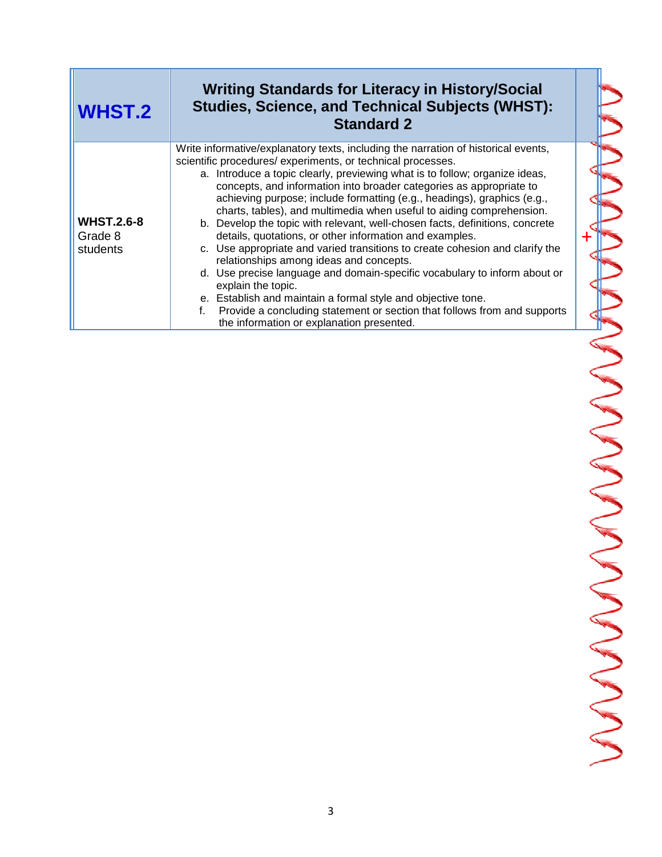| <b>WHST.2</b>                            | <b>Writing Standards for Literacy in History/Social</b><br><b>Studies, Science, and Technical Subjects (WHST):</b><br><b>Standard 2</b>                                                                                                                                                                                                                                                                                                                                                                                                                                                                                                                                                                                                                                                                                                                                                                                                                                                                                     |  |
|------------------------------------------|-----------------------------------------------------------------------------------------------------------------------------------------------------------------------------------------------------------------------------------------------------------------------------------------------------------------------------------------------------------------------------------------------------------------------------------------------------------------------------------------------------------------------------------------------------------------------------------------------------------------------------------------------------------------------------------------------------------------------------------------------------------------------------------------------------------------------------------------------------------------------------------------------------------------------------------------------------------------------------------------------------------------------------|--|
| <b>WHST.2.6-8</b><br>Grade 8<br>students | Write informative/explanatory texts, including the narration of historical events,<br>scientific procedures/experiments, or technical processes.<br>a. Introduce a topic clearly, previewing what is to follow; organize ideas,<br>concepts, and information into broader categories as appropriate to<br>achieving purpose; include formatting (e.g., headings), graphics (e.g.,<br>charts, tables), and multimedia when useful to aiding comprehension.<br>b. Develop the topic with relevant, well-chosen facts, definitions, concrete<br>details, quotations, or other information and examples.<br>c. Use appropriate and varied transitions to create cohesion and clarify the<br>relationships among ideas and concepts.<br>d. Use precise language and domain-specific vocabulary to inform about or<br>explain the topic.<br>e. Establish and maintain a formal style and objective tone.<br>Provide a concluding statement or section that follows from and supports<br>the information or explanation presented. |  |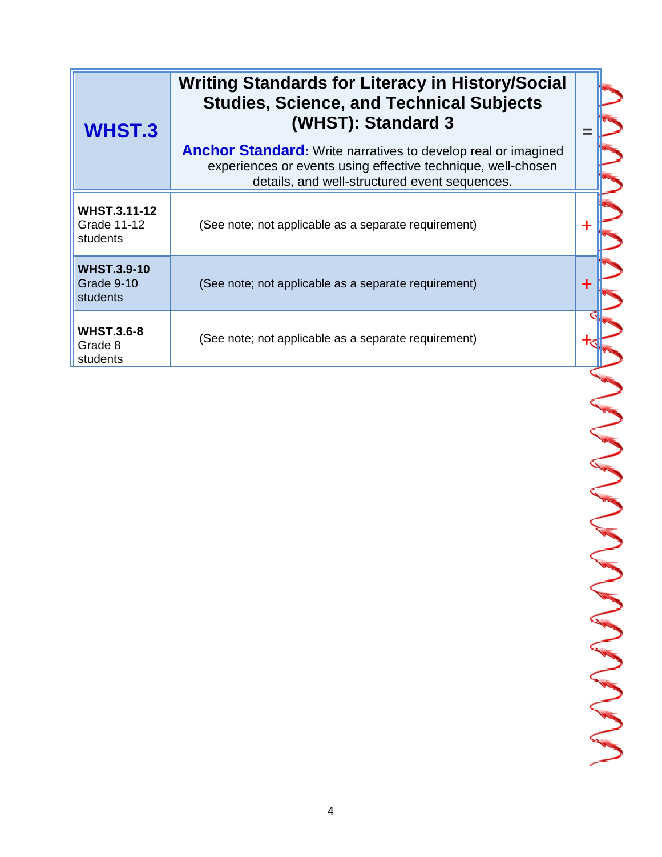| <b>WHST.3</b>                                  | <b>Writing Standards for Literacy in History/Social</b><br><b>Studies, Science, and Technical Subjects</b><br>(WHST): Standard 3                                                      |   |  |
|------------------------------------------------|---------------------------------------------------------------------------------------------------------------------------------------------------------------------------------------|---|--|
|                                                | <b>Anchor Standard:</b> Write narratives to develop real or imagined<br>experiences or events using effective technique, well-chosen<br>details, and well-structured event sequences. |   |  |
| <b>WHST.3.11-12</b><br>Grade 11-12<br>students | (See note; not applicable as a separate requirement)                                                                                                                                  | ╈ |  |
| <b>WHST.3.9-10</b><br>Grade 9-10<br>students   | (See note; not applicable as a separate requirement)                                                                                                                                  | ┿ |  |
| <b>WHST.3.6-8</b><br>Grade 8<br>students       | (See note; not applicable as a separate requirement)                                                                                                                                  |   |  |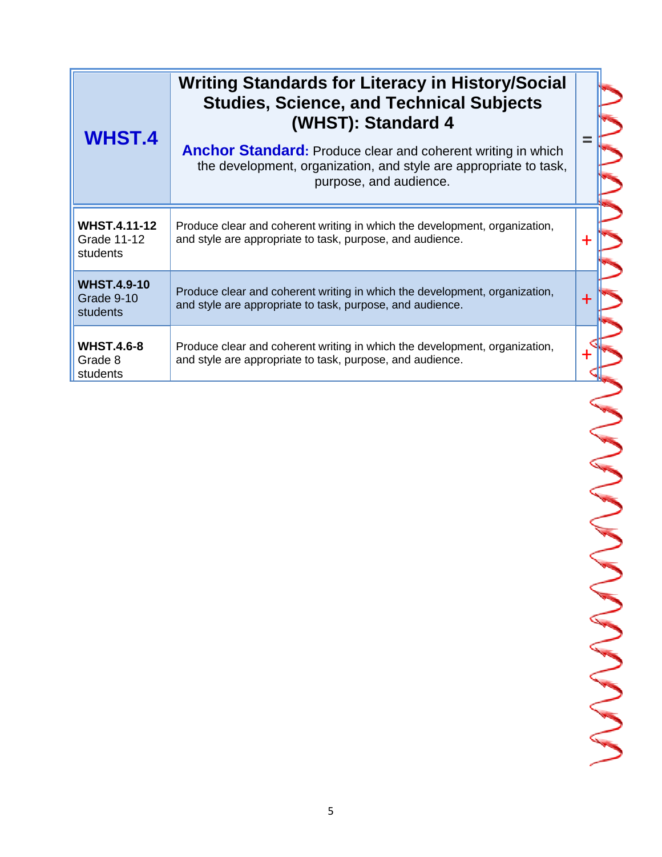| <b>WHST.4</b>                                  | <b>Writing Standards for Literacy in History/Social</b><br><b>Studies, Science, and Technical Subjects</b><br>(WHST): Standard 4<br><b>Anchor Standard:</b> Produce clear and coherent writing in which<br>the development, organization, and style are appropriate to task,<br>purpose, and audience. |   |
|------------------------------------------------|--------------------------------------------------------------------------------------------------------------------------------------------------------------------------------------------------------------------------------------------------------------------------------------------------------|---|
| <b>WHST.4.11-12</b><br>Grade 11-12<br>students | Produce clear and coherent writing in which the development, organization,<br>and style are appropriate to task, purpose, and audience.                                                                                                                                                                | ╅ |
| <b>WHST.4.9-10</b><br>Grade 9-10<br>students   | Produce clear and coherent writing in which the development, organization,<br>and style are appropriate to task, purpose, and audience.                                                                                                                                                                | ╋ |
| <b>WHST.4.6-8</b><br>Grade 8<br>students       | Produce clear and coherent writing in which the development, organization,<br>and style are appropriate to task, purpose, and audience.                                                                                                                                                                | ┿ |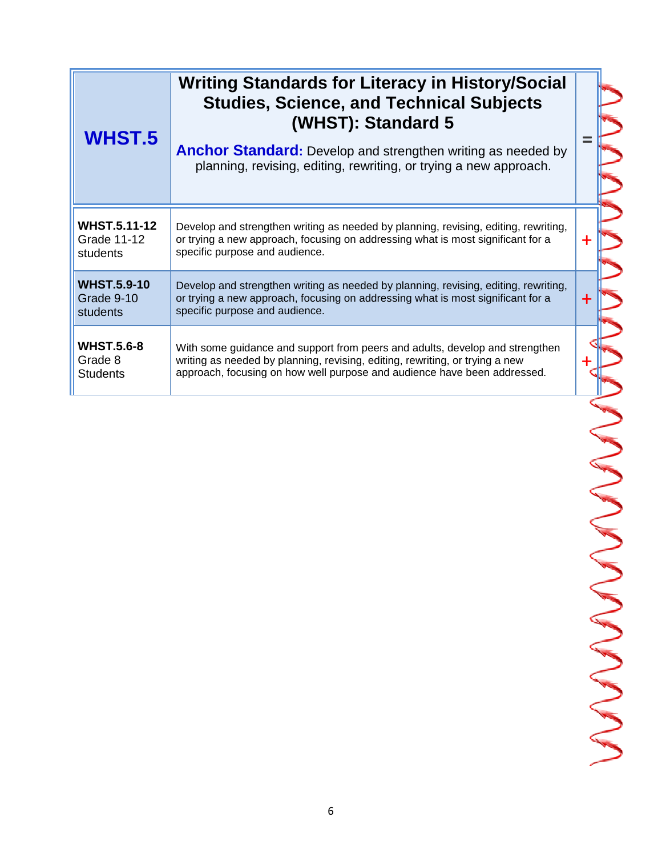| WHST.5                                                | <b>Writing Standards for Literacy in History/Social</b><br><b>Studies, Science, and Technical Subjects</b><br>(WHST): Standard 5<br><b>Anchor Standard:</b> Develop and strengthen writing as needed by<br>planning, revising, editing, rewriting, or trying a new approach. |   |
|-------------------------------------------------------|------------------------------------------------------------------------------------------------------------------------------------------------------------------------------------------------------------------------------------------------------------------------------|---|
| <b>WHST.5.11-12</b><br><b>Grade 11-12</b><br>students | Develop and strengthen writing as needed by planning, revising, editing, rewriting,<br>or trying a new approach, focusing on addressing what is most significant for a<br>specific purpose and audience.                                                                     | ╉ |
| <b>WHST.5.9-10</b><br>Grade 9-10<br><b>students</b>   | Develop and strengthen writing as needed by planning, revising, editing, rewriting,<br>or trying a new approach, focusing on addressing what is most significant for a<br>specific purpose and audience.                                                                     | ╈ |
| <b>WHST.5.6-8</b><br>Grade 8<br><b>Students</b>       | With some guidance and support from peers and adults, develop and strengthen<br>writing as needed by planning, revising, editing, rewriting, or trying a new<br>approach, focusing on how well purpose and audience have been addressed.                                     | ┹ |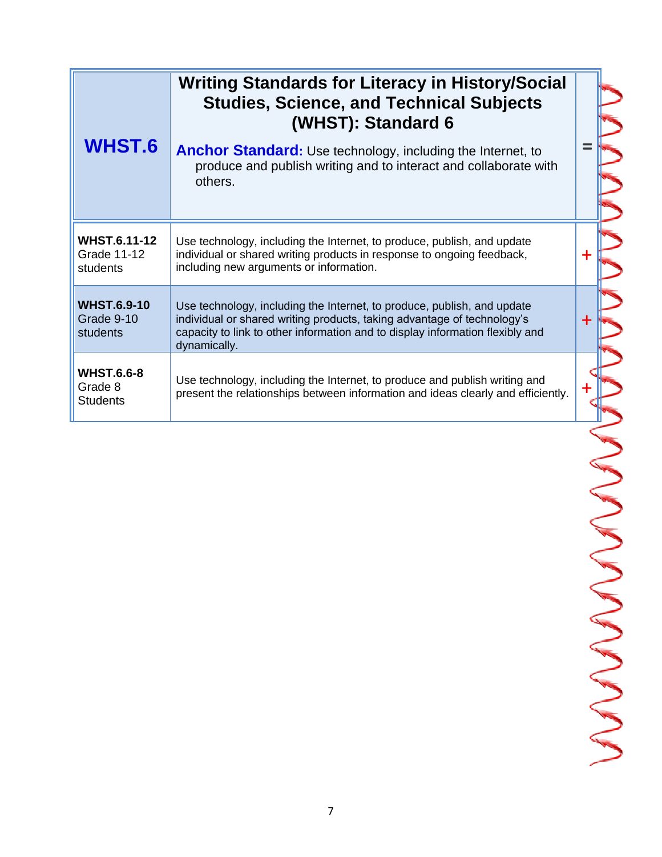| <b>WHST.6</b>                                   | <b>Writing Standards for Literacy in History/Social</b><br><b>Studies, Science, and Technical Subjects</b><br>(WHST): Standard 6<br><b>Anchor Standard:</b> Use technology, including the Internet, to<br>produce and publish writing and to interact and collaborate with<br>others. |         |  |
|-------------------------------------------------|---------------------------------------------------------------------------------------------------------------------------------------------------------------------------------------------------------------------------------------------------------------------------------------|---------|--|
| <b>WHST.6.11-12</b><br>Grade 11-12<br>students  | Use technology, including the Internet, to produce, publish, and update<br>individual or shared writing products in response to ongoing feedback,<br>including new arguments or information.                                                                                          | $\ddag$ |  |
| <b>WHST.6.9-10</b><br>Grade 9-10<br>students    | Use technology, including the Internet, to produce, publish, and update<br>individual or shared writing products, taking advantage of technology's<br>capacity to link to other information and to display information flexibly and<br>dynamically.                                   | $\pm$   |  |
| <b>WHST.6.6-8</b><br>Grade 8<br><b>Students</b> | Use technology, including the Internet, to produce and publish writing and<br>present the relationships between information and ideas clearly and efficiently.                                                                                                                        |         |  |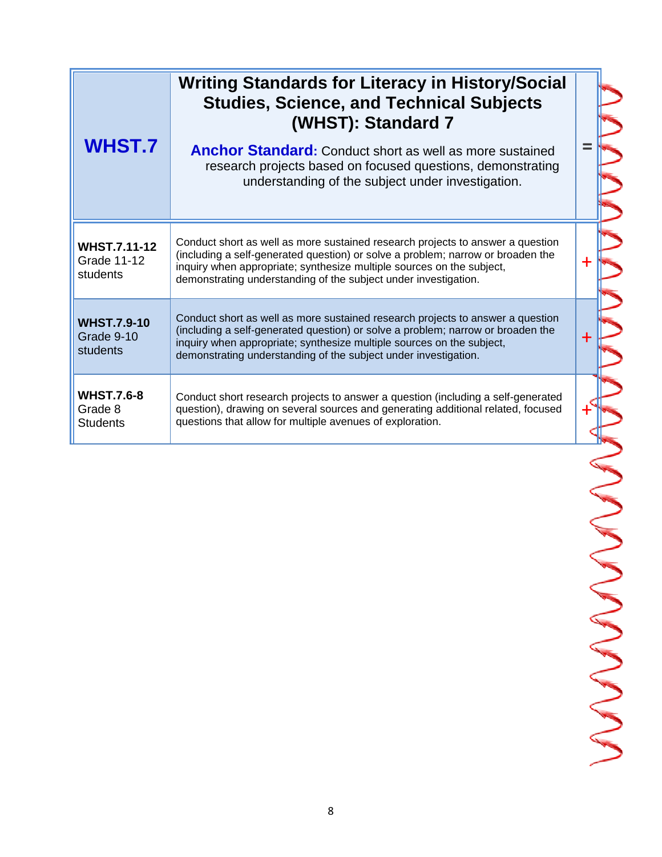| <b>WHST.7</b>                                         | <b>Writing Standards for Literacy in History/Social</b><br><b>Studies, Science, and Technical Subjects</b><br>(WHST): Standard 7<br><b>Anchor Standard:</b> Conduct short as well as more sustained<br>research projects based on focused questions, demonstrating<br>understanding of the subject under investigation. |   |  |
|-------------------------------------------------------|-------------------------------------------------------------------------------------------------------------------------------------------------------------------------------------------------------------------------------------------------------------------------------------------------------------------------|---|--|
| <b>WHST.7.11-12</b><br><b>Grade 11-12</b><br>students | Conduct short as well as more sustained research projects to answer a question<br>(including a self-generated question) or solve a problem; narrow or broaden the<br>inquiry when appropriate; synthesize multiple sources on the subject,<br>demonstrating understanding of the subject under investigation.           | ┿ |  |
| <b>WHST.7.9-10</b><br>Grade 9-10<br>students          | Conduct short as well as more sustained research projects to answer a question<br>(including a self-generated question) or solve a problem; narrow or broaden the<br>inquiry when appropriate; synthesize multiple sources on the subject,<br>demonstrating understanding of the subject under investigation.           |   |  |
| <b>WHST.7.6-8</b><br>Grade 8<br><b>Students</b>       | Conduct short research projects to answer a question (including a self-generated<br>question), drawing on several sources and generating additional related, focused<br>questions that allow for multiple avenues of exploration.                                                                                       |   |  |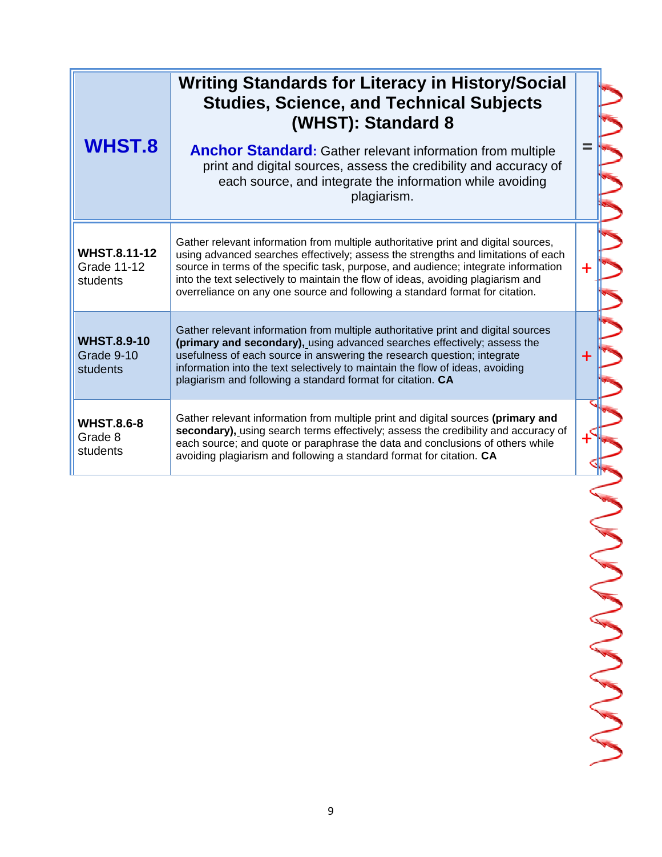| WHST.8                                                | <b>Writing Standards for Literacy in History/Social</b><br><b>Studies, Science, and Technical Subjects</b><br>(WHST): Standard 8<br><b>Anchor Standard:</b> Gather relevant information from multiple<br>print and digital sources, assess the credibility and accuracy of<br>each source, and integrate the information while avoiding<br>plagiarism.                                                                            |        |  |
|-------------------------------------------------------|-----------------------------------------------------------------------------------------------------------------------------------------------------------------------------------------------------------------------------------------------------------------------------------------------------------------------------------------------------------------------------------------------------------------------------------|--------|--|
| <b>WHST.8.11-12</b><br><b>Grade 11-12</b><br>students | Gather relevant information from multiple authoritative print and digital sources,<br>using advanced searches effectively; assess the strengths and limitations of each<br>source in terms of the specific task, purpose, and audience; integrate information<br>into the text selectively to maintain the flow of ideas, avoiding plagiarism and<br>overreliance on any one source and following a standard format for citation. | $\div$ |  |
| <b>WHST.8.9-10</b><br>Grade 9-10<br>students          | Gather relevant information from multiple authoritative print and digital sources<br>(primary and secondary), using advanced searches effectively; assess the<br>usefulness of each source in answering the research question; integrate<br>information into the text selectively to maintain the flow of ideas, avoiding<br>plagiarism and following a standard format for citation. CA                                          |        |  |
| <b>WHST.8.6-8</b><br>Grade 8<br>students              | Gather relevant information from multiple print and digital sources (primary and<br>secondary), using search terms effectively; assess the credibility and accuracy of<br>each source; and quote or paraphrase the data and conclusions of others while<br>avoiding plagiarism and following a standard format for citation. CA                                                                                                   |        |  |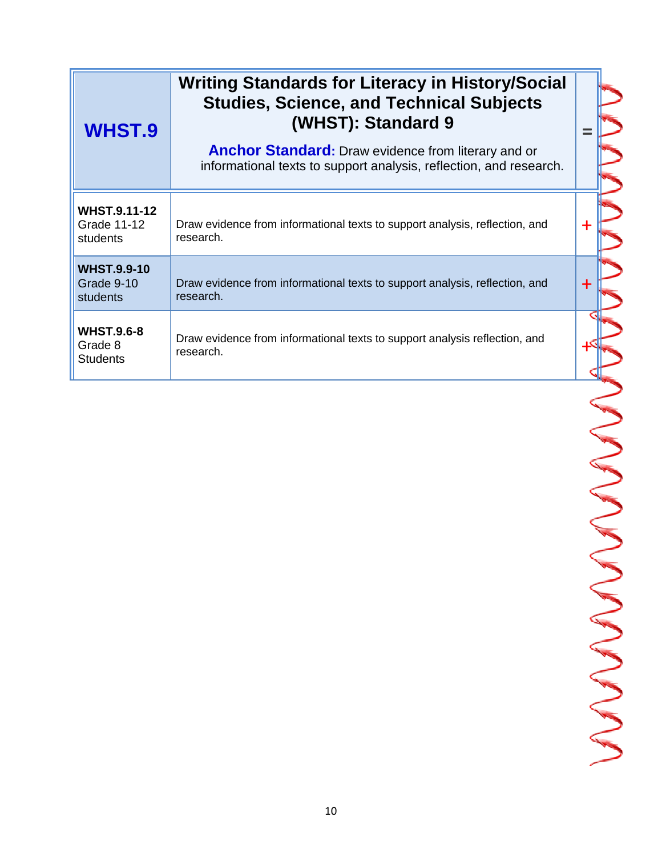| WHST.9                                                | <b>Writing Standards for Literacy in History/Social</b><br><b>Studies, Science, and Technical Subjects</b><br>(WHST): Standard 9<br><b>Anchor Standard:</b> Draw evidence from literary and or<br>informational texts to support analysis, reflection, and research. |   |
|-------------------------------------------------------|----------------------------------------------------------------------------------------------------------------------------------------------------------------------------------------------------------------------------------------------------------------------|---|
| <b>WHST.9.11-12</b><br><b>Grade 11-12</b><br>students | Draw evidence from informational texts to support analysis, reflection, and<br>research.                                                                                                                                                                             | + |
| <b>WHST.9.9-10</b><br>Grade 9-10<br>students          | Draw evidence from informational texts to support analysis, reflection, and<br>research.                                                                                                                                                                             | ┿ |
| <b>WHST.9.6-8</b><br>Grade 8<br><b>Students</b>       | Draw evidence from informational texts to support analysis reflection, and<br>research.                                                                                                                                                                              |   |